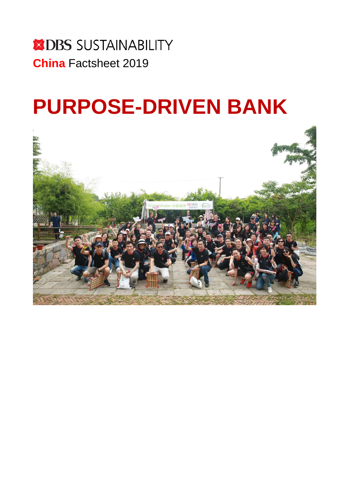# **X DBS SUSTAINABILITY China** Factsheet 2019

# **PURPOSE-DRIVEN BANK**

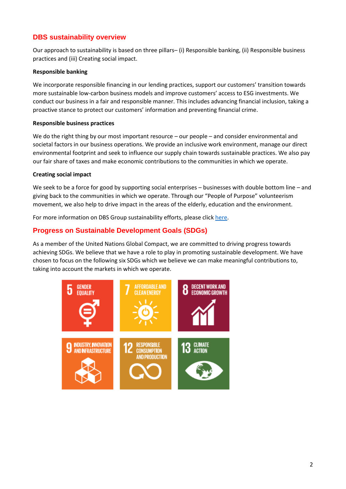### **DBS sustainability overview**

Our approach to sustainability is based on three pillars– (i) Responsible banking, (ii) Responsible business practices and (iii) Creating social impact.

#### **Responsible banking**

We incorporate responsible financing in our lending practices, support our customers' transition towards more sustainable low-carbon business models and improve customers' access to ESG investments. We conduct our business in a fair and responsible manner. This includes advancing financial inclusion, taking a proactive stance to protect our customers' information and preventing financial crime.

#### **Responsible business practices**

We do the right thing by our most important resource – our people – and consider environmental and societal factors in our business operations. We provide an inclusive work environment, manage our direct environmental footprint and seek to influence our supply chain towards sustainable practices. We also pay our fair share of taxes and make economic contributions to the communities in which we operate.

### **Creating social impact**

We seek to be a force for good by supporting social enterprises – businesses with double bottom line – and giving back to the communities in which we operate. Through our "People of Purpose" volunteerism movement, we also help to drive impact in the areas of the elderly, education and the environment.

For more information on DBS Group sustainability efforts, please clic[k here.](https://www.dbs.com/sustainability/default.page)

### **Progress on Sustainable Development Goals (SDGs)**

As a member of the United Nations Global Compact, we are committed to driving progress towards achieving SDGs. We believe that we have a role to play in promoting sustainable development. We have chosen to focus on the following six SDGs which we believe we can make meaningful contributions to, taking into account the markets in which we operate.

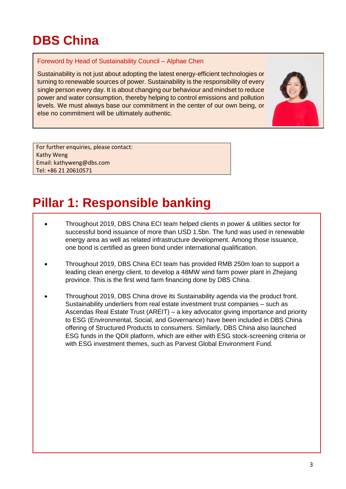### 3

# **DBS China**

## Foreword by Head of Sustainability Council – Alphae Chen

Sustainability is not just about adopting the latest energy-efficient technologies or turning to renewable sources of power. Sustainability is the responsibility of every single person every day. It is about changing our behaviour and mindset to reduce power and water consumption, thereby helping to control emissions and pollution levels. We must always base our commitment in the center of our own being, or else no commitment will be ultimately authentic.

For further enquiries, please contact: Kathy Weng Email: kathyweng@dbs.com Tel: +86 21 20610571

# **Pillar 1: Responsible banking**

- Throughout 2019, DBS China ECI team helped clients in power & utilities sector for successful bond issuance of more than USD 1.5bn. The fund was used in renewable energy area as well as related infrastructure development. Among those issuance, one bond is certified as green bond under international qualification.
- Throughout 2019, DBS China ECI team has provided RMB 250m loan to support a leading clean energy client, to develop a 48MW wind farm power plant in Zhejiang province. This is the first wind farm financing done by DBS China.
- Throughout 2019, DBS China drove its Sustainability agenda via the product front. Sustainability underliers from real estate investment trust companies – such as Ascendas Real Estate Trust (AREIT) – a key advocator giving importance and priority to ESG (Environmental, Social, and Governance) have been included in DBS China offering of Structured Products to consumers. Similarly, DBS China also launched ESG funds in the QDII platform, which are either with ESG stock-screening criteria or with ESG investment themes, such as Parvest Global Environment Fund.

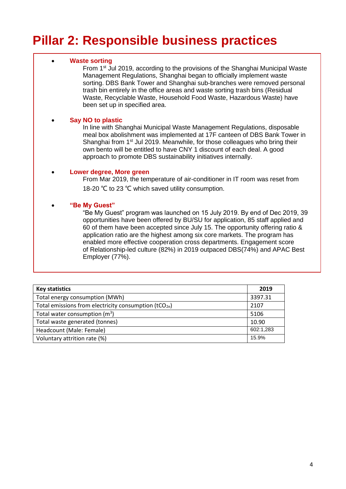# **Pillar 2: Responsible business practices**

| <b>Waste sorting</b><br>From 1 <sup>st</sup> Jul 2019, according to the provisions of the Shanghai Municipal Waste<br>Management Regulations, Shanghai began to officially implement waste<br>sorting. DBS Bank Tower and Shanghai sub-branches were removed personal<br>trash bin entirely in the office areas and waste sorting trash bins (Residual<br>Waste, Recyclable Waste, Household Food Waste, Hazardous Waste) have<br>been set up in specified area.                                                      |
|-----------------------------------------------------------------------------------------------------------------------------------------------------------------------------------------------------------------------------------------------------------------------------------------------------------------------------------------------------------------------------------------------------------------------------------------------------------------------------------------------------------------------|
| <b>Say NO to plastic</b><br>In line with Shanghai Municipal Waste Management Regulations, disposable<br>meal box abolishment was implemented at 17F canteen of DBS Bank Tower in<br>Shanghai from 1 <sup>st</sup> Jul 2019. Meanwhile, for those colleagues who bring their<br>own bento will be entitled to have CNY 1 discount of each deal. A good<br>approach to promote DBS sustainability initiatives internally.                                                                                               |
| Lower degree, More green<br>From Mar 2019, the temperature of air-conditioner in IT room was reset from<br>18-20 °C to 23 °C which saved utility consumption.                                                                                                                                                                                                                                                                                                                                                         |
| "Be My Guest"<br>"Be My Guest" program was launched on 15 July 2019. By end of Dec 2019, 39<br>opportunities have been offered by BU/SU for application, 85 staff applied and<br>60 of them have been accepted since July 15. The opportunity offering ratio &<br>application ratio are the highest among six core markets. The program has<br>enabled more effective cooperation cross departments. Engagement score<br>of Relationship-led culture (82%) in 2019 outpaced DBS(74%) and APAC Best<br>Employer (77%). |
|                                                                                                                                                                                                                                                                                                                                                                                                                                                                                                                       |

| <b>Key statistics</b>                                             | 2019      |
|-------------------------------------------------------------------|-----------|
| Total energy consumption (MWh)                                    | 3397.31   |
| Total emissions from electricity consumption (tCO <sub>2e</sub> ) | 2107      |
| Total water consumption $(m^3)$                                   | 5106      |
| Total waste generated (tonnes)                                    | 10.90     |
| Headcount (Male: Female)                                          | 602:1,283 |
| Voluntary attrition rate (%)                                      | 15.9%     |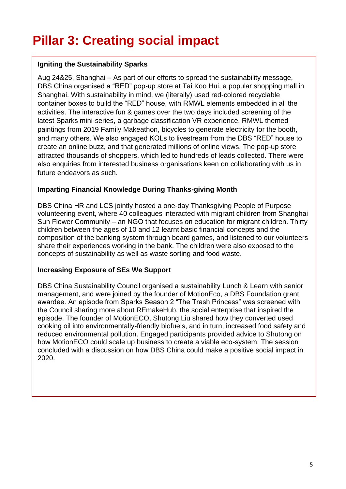# **Pillar 3: Creating social impact**

### **Igniting the Sustainability Sparks**

Aug 24&25, Shanghai – As part of our efforts to spread the sustainability message, DBS China organised a "RED" pop-up store at Tai Koo Hui, a popular shopping mall in Shanghai. With sustainability in mind, we (literally) used red-colored recyclable container boxes to build the "RED" house, with RMWL elements embedded in all the activities. The interactive fun & games over the two days included screening of the latest Sparks mini-series, a garbage classification VR experience, RMWL themed paintings from 2019 Family Makeathon, bicycles to generate electricity for the booth, and many others. We also engaged KOLs to livestream from the DBS "RED" house to create an online buzz, and that generated millions of online views. The pop-up store attracted thousands of shoppers, which led to hundreds of leads collected. There were also enquiries from interested business organisations keen on collaborating with us in future endeavors as such.

### **Imparting Financial Knowledge During Thanks-giving Month**

DBS China HR and LCS jointly hosted a one-day Thanksgiving People of Purpose volunteering event, where 40 colleagues interacted with migrant children from Shanghai Sun Flower Community – an NGO that focuses on education for migrant children. Thirty children between the ages of 10 and 12 learnt basic financial concepts and the composition of the banking system through board games, and listened to our volunteers share their experiences working in the bank. The children were also exposed to the concepts of sustainability as well as waste sorting and food waste.

### **Increasing Exposure of SEs We Support**

DBS China Sustainability Council organised a sustainability Lunch & Learn with senior management, and were joined by the founder of MotionEco, a DBS Foundation grant awardee. An episode from Sparks Season 2 "The Trash Princess" was screened with the Council sharing more about REmakeHub, the social enterprise that inspired the episode. The founder of MotionECO, Shutong Liu shared how they converted used cooking oil into environmentally-friendly biofuels, and in turn, increased food safety and reduced environmental pollution. Engaged participants provided advice to Shutong on how MotionECO could scale up business to create a viable eco-system. The session concluded with a discussion on how DBS China could make a positive social impact in 2020.